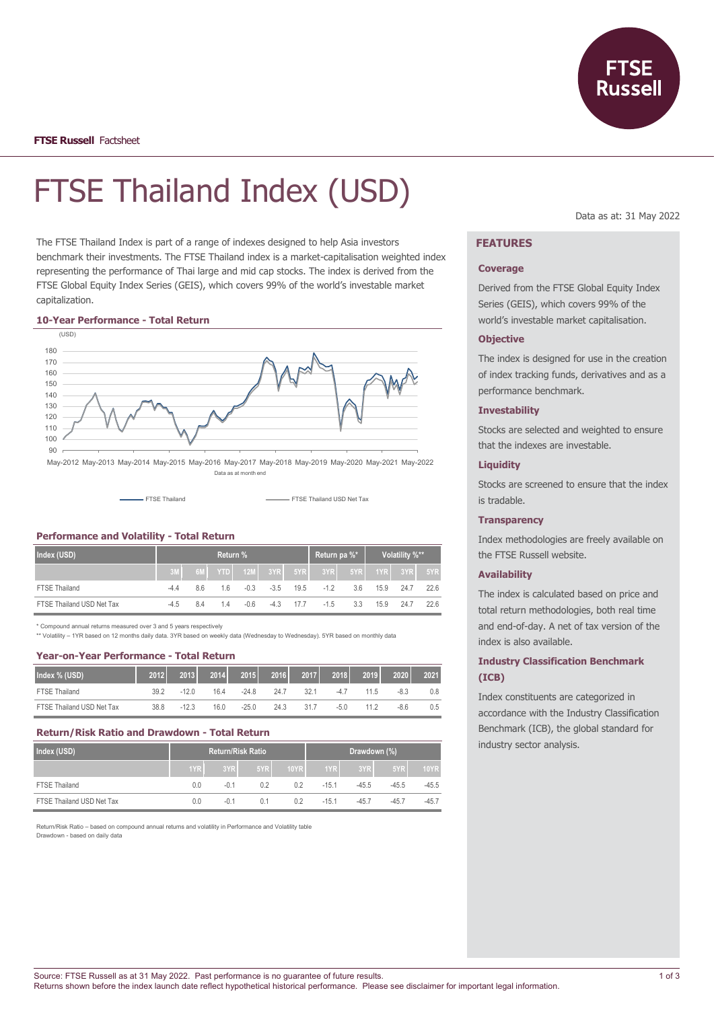

# FTSE Thailand Index (USD)

The FTSE Thailand Index is part of a range of indexes designed to help Asia investors benchmark their investments. The FTSE Thailand index is a market-capitalisation weighted index representing the performance of Thai large and mid cap stocks. The index is derived from the FTSE Global Equity Index Series (GEIS), which covers 99% of the world's investable market capitalization.

#### **10-Year Performance - Total Return**



Data as at month end

FTSE Thailand **FTSE Thailand USD Net Tax** 

#### **Performance and Volatility - Total Return**

| Index (USD)               | Return % |    |     |     |                    |      | Return pa %*           |                       | Volatility %** |                   |      |
|---------------------------|----------|----|-----|-----|--------------------|------|------------------------|-----------------------|----------------|-------------------|------|
|                           |          |    |     |     |                    |      | 6M YTD 12M 3YR 5YR 3YR | $5$ YR $\overline{1}$ |                | $1YR$ $3YR$ $5YR$ |      |
| <b>FTSE Thailand</b>      | $-4.4$   | 86 | 1.6 |     | $-0.3$ $-3.5$ 19.5 |      | $-12$                  | 3.6                   |                | 15.9 24.7         | 22.6 |
| FTSE Thailand USD Net Tax | $-4.5$   | 84 | 1.4 | -06 | $-4.3$             | 17.7 | $-1.5$                 | 3.3                   |                | 15.9 24.7         | 22.6 |

\* Compound annual returns measured over 3 and 5 years respectively

\*\* Volatility – 1YR based on 12 months daily data. 3YR based on weekly data (Wednesday to Wednesday). 5YR based on monthly data

## **Year-on-Year Performance - Total Return**

| Index % (USD)             | 2012 | 2013    | 2014 | 2015    | 2016 | 2017 | 2018   | 2019 | 2020   | 2021 |
|---------------------------|------|---------|------|---------|------|------|--------|------|--------|------|
| <b>FTSE Thailand</b>      | 39.2 |         | 16.4 | $-24.8$ | 24.7 | 321  | $-4.7$ | 11.5 | $-8.3$ | 0.8  |
| FTSE Thailand USD Net Tax | 38.8 | $-12.3$ | 16.0 | $-25.0$ | 24.3 | 317  | $-5.0$ | 11 2 | $-8.6$ | 0.5  |

#### **Return/Risk Ratio and Drawdown - Total Return**

| Index (USD)               | <b>Return/Risk Ratio</b> |        |     |             | Drawdown (%) |         |         |             |
|---------------------------|--------------------------|--------|-----|-------------|--------------|---------|---------|-------------|
|                           | 1YR                      | 3YR    | 5YR | <b>10YR</b> | 1YR          | 3YR     | 5YR     | <b>10YR</b> |
| <b>FTSE Thailand</b>      | 0.0                      | $-0.1$ | 02  | 0.2         | $-15.1$      | $-45.5$ | $-45.5$ | $-45.5$     |
| FTSE Thailand USD Net Tax | 0.0                      | $-0.1$ | 0.1 | 0.2         | $-151$       | $-45.7$ | $-45.7$ | $-45.7$     |

Return/Risk Ratio – based on compound annual returns and volatility in Performance and Volatility table Drawdown - based on daily data

Data as at: 31 May 2022

# **FEATURES**

#### **Coverage**

Derived from the FTSE Global Equity Index Series (GEIS), which covers 99% of the world's investable market capitalisation.

#### **Objective**

The index is designed for use in the creation of index tracking funds, derivatives and as a performance benchmark.

#### **Investability**

Stocks are selected and weighted to ensure that the indexes are investable.

# **Liquidity**

Stocks are screened to ensure that the index is tradable.

#### **Transparency**

Index methodologies are freely available on the FTSE Russell website.

#### **Availability**

The index is calculated based on price and total return methodologies, both real time and end-of-day. A net of tax version of the index is also available.

## **Industry Classification Benchmark (ICB)**

Index constituents are categorized in accordance with the Industry Classification Benchmark (ICB), the global standard for industry sector analysis.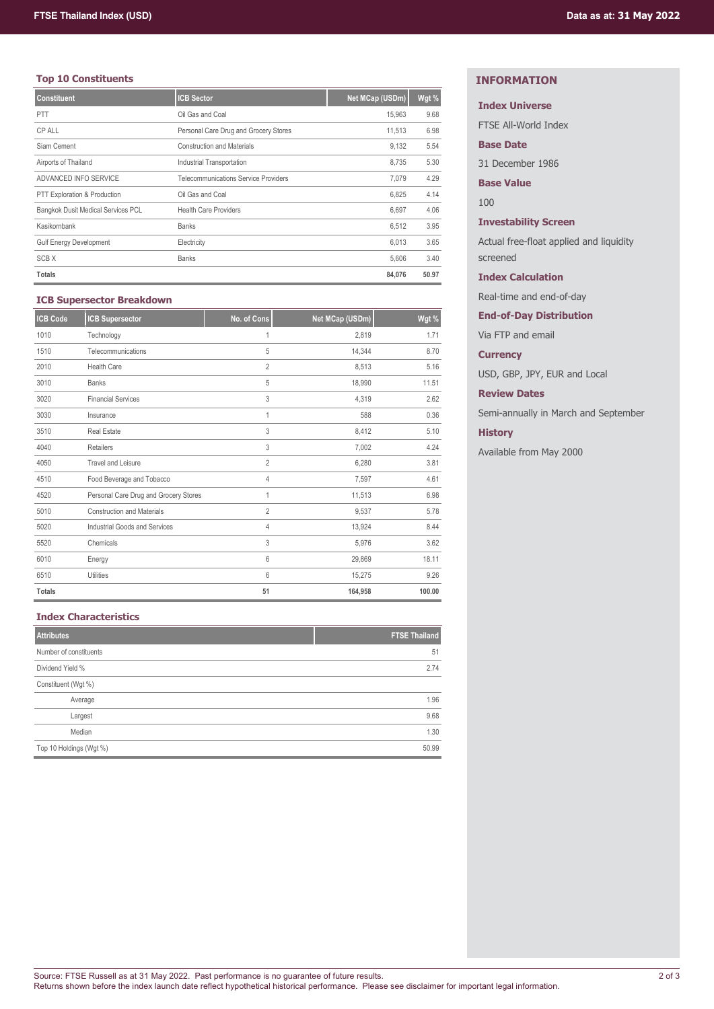# **Top 10 Constituents**

| <b>Constituent</b>                        | <b>ICB Sector</b>                           | Net MCap (USDm) | Wgt % |
|-------------------------------------------|---------------------------------------------|-----------------|-------|
| <b>PTT</b>                                | Oil Gas and Coal                            | 15.963          | 9.68  |
| CP ALL                                    | Personal Care Drug and Grocery Stores       | 11,513          | 6.98  |
| Siam Cement                               | <b>Construction and Materials</b>           | 9.132           | 5.54  |
| Airports of Thailand                      | Industrial Transportation                   | 8.735           | 5.30  |
| ADVANCED INFO SERVICE                     | <b>Telecommunications Service Providers</b> | 7.079           | 4.29  |
| PTT Exploration & Production              | Oil Gas and Coal                            | 6.825           | 4.14  |
| <b>Bangkok Dusit Medical Services PCL</b> | <b>Health Care Providers</b>                | 6.697           | 4.06  |
| Kasikornbank                              | <b>Banks</b>                                | 6,512           | 3.95  |
| <b>Gulf Energy Development</b>            | Electricity                                 | 6.013           | 3.65  |
| <b>SCBX</b>                               | <b>Banks</b>                                | 5.606           | 3.40  |
| <b>Totals</b>                             |                                             | 84,076          | 50.97 |

## **ICB Supersector Breakdown**

| <b>ICB Code</b> | <b>ICB Supersector</b>                | No. of Cons    | Net MCap (USDm) | Wgt %  |
|-----------------|---------------------------------------|----------------|-----------------|--------|
| 1010            | Technology                            | 1              | 2,819           | 1.71   |
| 1510            | Telecommunications                    | 5              | 14,344          | 8.70   |
| 2010            | <b>Health Care</b>                    | $\overline{2}$ | 8,513           | 5.16   |
| 3010            | <b>Banks</b>                          | 5              | 18,990          | 11.51  |
| 3020            | <b>Financial Services</b>             | 3              | 4,319           | 2.62   |
| 3030            | Insurance                             | 1              | 588             | 0.36   |
| 3510            | <b>Real Estate</b>                    | 3              | 8,412           | 5.10   |
| 4040            | <b>Retailers</b>                      | 3              | 7,002           | 4.24   |
| 4050            | <b>Travel and Leisure</b>             | $\overline{2}$ | 6,280           | 3.81   |
| 4510            | Food Beverage and Tobacco             | 4              | 7,597           | 4.61   |
| 4520            | Personal Care Drug and Grocery Stores | 1              | 11,513          | 6.98   |
| 5010            | <b>Construction and Materials</b>     | $\overline{2}$ | 9,537           | 5.78   |
| 5020            | <b>Industrial Goods and Services</b>  | 4              | 13,924          | 8.44   |
| 5520            | Chemicals                             | 3              | 5,976           | 3.62   |
| 6010            | Energy                                | 6              | 29,869          | 18.11  |
| 6510            | Utilities                             | 6              | 15,275          | 9.26   |
| <b>Totals</b>   |                                       | 51             | 164,958         | 100.00 |

## **Index Characteristics**

| <b>Attributes</b>       | <b>FTSE Thailand</b> |
|-------------------------|----------------------|
| Number of constituents  | 51                   |
| Dividend Yield %        | 2.74                 |
| Constituent (Wgt %)     |                      |
| Average                 | 1.96                 |
| Largest                 | 9.68                 |
| Median                  | 1.30                 |
| Top 10 Holdings (Wgt %) | 50.99                |

# **INFORMATION**

# **Index Universe**

FTSE All-World Index

## **Base Date**

31 December 1986

## **Base Value**

100

## **Investability Screen**

Actual free-float applied and liquidity screened

## **Index Calculation**

Real-time and end-of-day

## **End-of-Day Distribution**

Via FTP and email

## **Currency**

USD, GBP, JPY, EUR and Local

## **Review Dates**

Semi-annually in March and September

# **History**

Available from May 2000